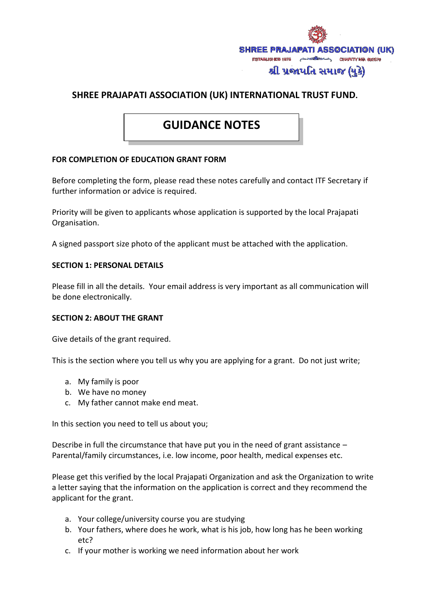

# **SHREE PRAJAPATI ASSOCIATION (UK) INTERNATIONAL TRUST FUND.**

# **GUIDANCE NOTES**

#### **FOR COMPLETION OF EDUCATION GRANT FORM**

Before completing the form, please read these notes carefully and contact ITF Secretary if further information or advice is required.

Priority will be given to applicants whose application is supported by the local Prajapati Organisation.

A signed passport size photo of the applicant must be attached with the application.

#### **SECTION 1: PERSONAL DETAILS**

Please fill in all the details. Your email address is very important as all communication will be done electronically.

#### **SECTION 2: ABOUT THE GRANT**

Give details of the grant required.

This is the section where you tell us why you are applying for a grant. Do not just write;

- a. My family is poor
- b. We have no money
- c. My father cannot make end meat.

In this section you need to tell us about you;

Describe in full the circumstance that have put you in the need of grant assistance – Parental/family circumstances, i.e. low income, poor health, medical expenses etc.

Please get this verified by the local Prajapati Organization and ask the Organization to write a letter saying that the information on the application is correct and they recommend the applicant for the grant.

- a. Your college/university course you are studying
- b. Your fathers, where does he work, what is his job, how long has he been working etc?
- c. If your mother is working we need information about her work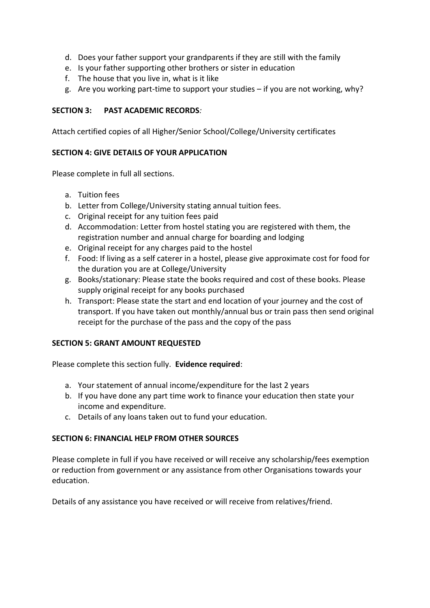- d. Does your father support your grandparents if they are still with the family
- e. Is your father supporting other brothers or sister in education
- f. The house that you live in, what is it like
- g. Are you working part-time to support your studies if you are not working, why?

# **SECTION 3: PAST ACADEMIC RECORDS***:*

Attach certified copies of all Higher/Senior School/College/University certificates

# **SECTION 4: GIVE DETAILS OF YOUR APPLICATION**

Please complete in full all sections.

- a. Tuition fees
- b. Letter from College/University stating annual tuition fees.
- c. Original receipt for any tuition fees paid
- d. Accommodation: Letter from hostel stating you are registered with them, the registration number and annual charge for boarding and lodging
- e. Original receipt for any charges paid to the hostel
- f. Food: If living as a self caterer in a hostel, please give approximate cost for food for the duration you are at College/University
- g. Books/stationary: Please state the books required and cost of these books. Please supply original receipt for any books purchased
- h. Transport: Please state the start and end location of your journey and the cost of transport. If you have taken out monthly/annual bus or train pass then send original receipt for the purchase of the pass and the copy of the pass

# **SECTION 5: GRANT AMOUNT REQUESTED**

Please complete this section fully. **Evidence required**:

- a. Your statement of annual income/expenditure for the last 2 years
- b. If you have done any part time work to finance your education then state your income and expenditure.
- c. Details of any loans taken out to fund your education.

# **SECTION 6: FINANCIAL HELP FROM OTHER SOURCES**

Please complete in full if you have received or will receive any scholarship/fees exemption or reduction from government or any assistance from other Organisations towards your education.

Details of any assistance you have received or will receive from relatives/friend.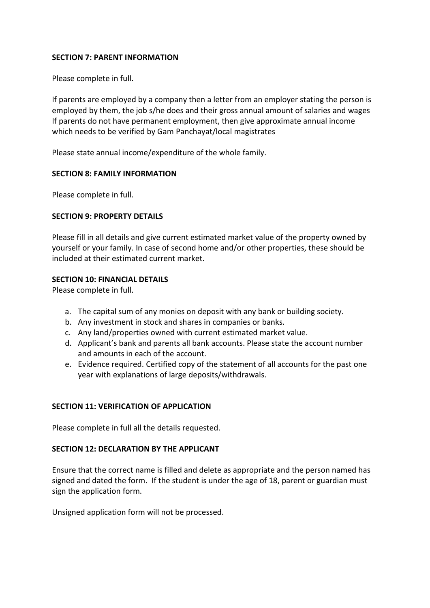#### **SECTION 7: PARENT INFORMATION**

Please complete in full.

If parents are employed by a company then a letter from an employer stating the person is employed by them, the job s/he does and their gross annual amount of salaries and wages If parents do not have permanent employment, then give approximate annual income which needs to be verified by Gam Panchayat/local magistrates

Please state annual income/expenditure of the whole family.

# **SECTION 8: FAMILY INFORMATION**

Please complete in full.

# **SECTION 9: PROPERTY DETAILS**

Please fill in all details and give current estimated market value of the property owned by yourself or your family. In case of second home and/or other properties, these should be included at their estimated current market.

# **SECTION 10: FINANCIAL DETAILS**

Please complete in full.

- a. The capital sum of any monies on deposit with any bank or building society.
- b. Any investment in stock and shares in companies or banks.
- c. Any land/properties owned with current estimated market value.
- d. Applicant's bank and parents all bank accounts. Please state the account number and amounts in each of the account.
- e. Evidence required. Certified copy of the statement of all accounts for the past one year with explanations of large deposits/withdrawals.

# **SECTION 11: VERIFICATION OF APPLICATION**

Please complete in full all the details requested.

### **SECTION 12: DECLARATION BY THE APPLICANT**

Ensure that the correct name is filled and delete as appropriate and the person named has signed and dated the form. If the student is under the age of 18, parent or guardian must sign the application form.

Unsigned application form will not be processed.